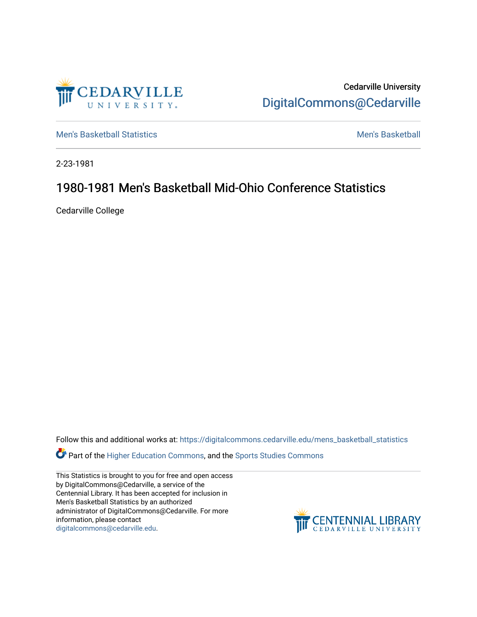

Cedarville University [DigitalCommons@Cedarville](https://digitalcommons.cedarville.edu/) 

[Men's Basketball Statistics](https://digitalcommons.cedarville.edu/mens_basketball_statistics) [Men's Basketball](https://digitalcommons.cedarville.edu/mens_basketball) 

2-23-1981

# 1980-1981 Men's Basketball Mid-Ohio Conference Statistics

Cedarville College

Follow this and additional works at: [https://digitalcommons.cedarville.edu/mens\\_basketball\\_statistics](https://digitalcommons.cedarville.edu/mens_basketball_statistics?utm_source=digitalcommons.cedarville.edu%2Fmens_basketball_statistics%2F421&utm_medium=PDF&utm_campaign=PDFCoverPages) 

Part of the [Higher Education Commons,](http://network.bepress.com/hgg/discipline/1245?utm_source=digitalcommons.cedarville.edu%2Fmens_basketball_statistics%2F421&utm_medium=PDF&utm_campaign=PDFCoverPages) and the Sports Studies Commons

This Statistics is brought to you for free and open access by DigitalCommons@Cedarville, a service of the Centennial Library. It has been accepted for inclusion in Men's Basketball Statistics by an authorized administrator of DigitalCommons@Cedarville. For more information, please contact [digitalcommons@cedarville.edu](mailto:digitalcommons@cedarville.edu).

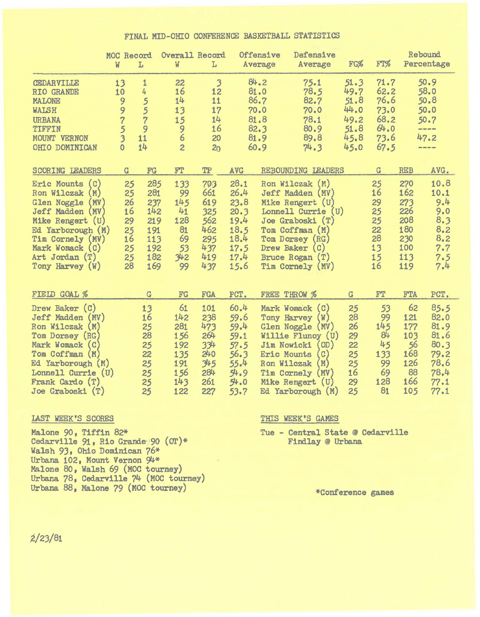### FINAL MID-OHIO CONFERENCE BASKETBALL STATISTICS

|                                                                                                                                                                                                                 | MOC Record<br>W                                                                        | $\rm L$                                                            | Overall Record<br>W                                               | L                                                                             |                                                                              | Offensive<br>Average                                                                                                 | Defensive<br>Average                                                                                                                                                                    | FG%                                                          | FT%                                                          |                                                                    | Rebound<br>Percentage                                                        |
|-----------------------------------------------------------------------------------------------------------------------------------------------------------------------------------------------------------------|----------------------------------------------------------------------------------------|--------------------------------------------------------------------|-------------------------------------------------------------------|-------------------------------------------------------------------------------|------------------------------------------------------------------------------|----------------------------------------------------------------------------------------------------------------------|-----------------------------------------------------------------------------------------------------------------------------------------------------------------------------------------|--------------------------------------------------------------|--------------------------------------------------------------|--------------------------------------------------------------------|------------------------------------------------------------------------------|
| CEDARVILLE<br>RIO GRANDE<br>MALONE<br><b>WALSH</b><br><b>URBANA</b><br>TIFFIN<br>MOUNT VERNON<br>OHIO DOMINICAN                                                                                                 | 13<br>10<br>9<br>9<br>$\overline{7}$<br>5<br>$\overline{\mathbf{3}}$<br>$\overline{0}$ | $\mathbf{1}$<br>4<br>5<br>5<br>$\overline{7}$<br>9<br>11<br>14     | 22<br>16<br>14<br>13<br>15<br>9<br>6<br>$\overline{c}$            | $\overline{\mathbf{3}}$<br>12<br>11<br>17<br>14<br>16<br>20<br>2 <sub>0</sub> |                                                                              | 84.2<br>81.0<br>86.7<br>70.0<br>81.8<br>82.3<br>81.9<br>60.9                                                         | 75.1<br>78.5<br>82.7<br>70.0<br>78.1<br>80.9<br>89.8<br>74.3                                                                                                                            | 51.3<br>49.7<br>51.8<br>44.0<br>49.2<br>51.8<br>45.8<br>45.0 | 71.7<br>62.2<br>76.6<br>73.0<br>68.2<br>64.0<br>73.6<br>67.5 |                                                                    | 50.9<br>58.0<br>50.8<br>50.0<br>50.7<br>----<br>47.2                         |
| <b>SCORING LEADERS</b>                                                                                                                                                                                          | G                                                                                      | ${\mathbb F} {\mathbf G}$                                          | FT                                                                | TP                                                                            | <b>AVG</b>                                                                   |                                                                                                                      | REBOUNDING LEADERS                                                                                                                                                                      |                                                              | G                                                            | <b>REB</b>                                                         | AVG.                                                                         |
| (C)<br>Eric Mounts<br>Ron Wilczak<br>(M)<br><b>Glen Noggle</b><br>(MV)<br>Jeff Madden (MV)<br>Mike Rengert (U)<br>Ed Yarborough (M)<br>Tim Cornely (MV)<br>Mark Womack (C)<br>Art Jordan (T)<br>Tony Harvey (W) | 25<br>25<br>26<br>16<br>29<br>25<br>16<br>25<br>25<br>28                               | 285<br>281<br>237<br>142<br>219<br>191<br>113<br>192<br>182<br>169 | 133<br>99<br>145<br>41<br>128<br>81<br>69<br>53<br>342<br>99      | 703<br>661<br>619<br>325<br>562<br>462<br>295<br>437<br>419<br>437            | 28.1<br>26.4<br>23.8<br>20.3<br>19.4<br>18.5<br>18.4<br>17.5<br>17.4<br>15.6 | Tim Cornely                                                                                                          | Ron Wilczak (M)<br>Jeff Madden (MV)<br>Mike Rengert (U)<br>Lonnell Currie<br>(U)<br>Joe Graboski (T)<br>Tom Coffman (M)<br>Tom Dorsey (RG)<br>Drew Baker (C)<br>Bruce Rogan (T)<br>(MV) |                                                              | 25<br>16<br>29<br>25<br>25<br>22<br>28<br>13<br>15<br>16     | 270<br>162<br>273<br>226<br>208<br>180<br>230<br>100<br>113<br>119 | 10.8<br>10.1<br>9.4<br>9.0<br>8.3<br>8.2<br>8.2<br>7.7<br>7.5<br>7.4         |
| FIELD GOAL %                                                                                                                                                                                                    |                                                                                        | G                                                                  | FG                                                                | FGA                                                                           | PCT.                                                                         | FREE THROW %                                                                                                         |                                                                                                                                                                                         | G                                                            | FT                                                           | <b>FTA</b>                                                         | PCT.                                                                         |
| Drew Baker (C)<br>Jeff Madden (MV)<br>Ron Wilczak (M)<br>Tom Dorsey (RG)<br>Mark Womack (C)<br>Tom Coffman (M)<br>Ed Yarborough (M)<br>Lonnell Currie (U)<br>Frank Cardo (T)<br>Joe Graboski (T)                |                                                                                        | 13<br>16<br>25<br>28<br>25<br>22<br>25<br>25<br>25<br>25           | 61<br>142<br>281<br>156<br>192<br>135<br>191<br>156<br>143<br>122 | 101<br>238<br>473<br>264<br>334<br>240<br>345<br>284<br>261<br>227            | 60.4<br>59.6<br>59.4<br>59.1<br>57.5<br>56.3<br>55.4<br>54.9<br>54.0<br>53.7 | Tony Harvey<br><b>Glen Noggle</b><br>Jim Nowicki<br><b>Eric Mounts</b><br>Ron Wilczak<br>Tim Cornely<br>Mike Rengert | Mark Womack (C)<br>(W)<br>(MV)<br>Willie Flunoy (U)<br>OD)<br>$\mathcal{C}$ )<br>(M)<br>(MV)<br>(U)<br>Ed Yarborough (M)                                                                | 25<br>28<br>26<br>29<br>22<br>25<br>25<br>16<br>29<br>25     | 53<br>99<br>145<br>84<br>45<br>133<br>99<br>69<br>128<br>81  | 62<br>121<br>177<br>103<br>56<br>168<br>126<br>88<br>166<br>105    | 85.5<br>82.0<br>81.9<br>81.6<br>80.3<br>79.2<br>78.6<br>78.4<br>77.1<br>77.1 |

Malone 90, Tiffin 82\* Tue - Central State @ Cedarville Cedarville  $91$ , Rio Grande 90 (OT)\* Findlay @ Urbana Cedarville  $91$ , Rio Grande 90 (OT)\* Walsh 93, Ohio Dominican 76\* Urbana 102, Mount Vernon 94\* Malone 80, Walsh 69 (MOC tourney) Urbana 78, Cedarville 74 (MOC tourney) Urbana 88, Malone 79 (MOC tourney) \*Conference games

# IAST WEEK'S SCORES THIS WEEK'S GAMES

 $2/23/81$